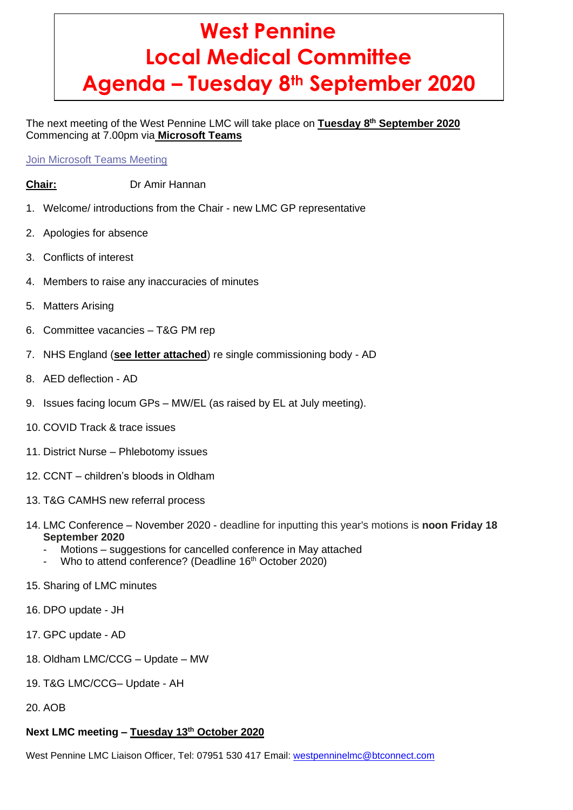# **West Pennine Local Medical Committee Agenda – Tuesday 8th September 2020**

The next meeting of the West Pennine LMC will take place on **Tuesday 8 th September 2020** Commencing at 7.00pm via **Microsoft Teams**

Join [Microsoft](https://teams.microsoft.com/l/meetup-join/19%3ameeting_OGMxMjExOGQtMzVlZC00MjAyLTlmZTctZWNmOGFkMzVjNDY5%40thread.v2/0?context=%7b%22Tid%22%3a%2237c354b2-85b0-47f5-b222-07b48d774ee3%22%2c%22Oid%22%3a%2240a3c208-dc29-4e03-b592-7abe2ced1eca%22%7d) Teams Meeting

- **Chair:** Dr Amir Hannan
- 1. Welcome/ introductions from the Chair new LMC GP representative
- 2. Apologies for absence
- 3. Conflicts of interest
- 4. Members to raise any inaccuracies of minutes
- 5. Matters Arising
- 6. Committee vacancies T&G PM rep
- 7. NHS England (**see letter attached**) re single commissioning body AD
- 8. AED deflection AD
- 9. Issues facing locum GPs MW/EL (as raised by EL at July meeting).
- 10. COVID Track & trace issues
- 11. District Nurse Phlebotomy issues
- 12. CCNT children's bloods in Oldham
- 13. T&G CAMHS new referral process
- 14. LMC Conference November 2020 deadline for inputting this year's motions is **noon Friday 18 September 2020**
	- Motions suggestions for cancelled conference in May attached
	- Who to attend conference? (Deadline 16th October 2020)
- 15. Sharing of LMC minutes
- 16. DPO update JH
- 17. GPC update AD
- 18. Oldham LMC/CCG Update MW
- 19. T&G LMC/CCG– Update AH
- 20. AOB

## **Next LMC meeting – Tuesday 13th October 2020**

West Pennine LMC Liaison Officer, Tel: 07951 530 417 Email: [westpenninelmc@btconnect.com](mailto:westpenninelmc@btconnect.com)